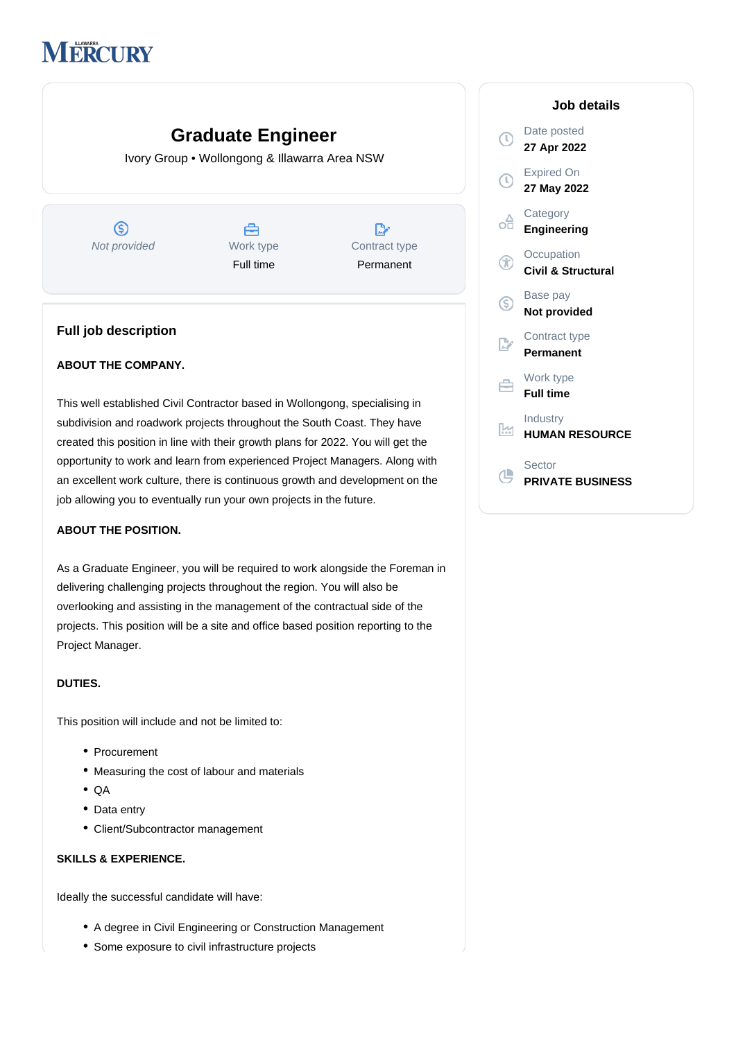# **MERCURY**

# **Graduate Engineer**

Ivory Group • Wollongong & Illawarra Area NSW

 $\circledS$ Å  $\mathbb{D}$ Not provided Work type Contract type Full time Permanent

# **Full job description**

## **ABOUT THE COMPANY.**

This well established Civil Contractor based in Wollongong, specialising in subdivision and roadwork projects throughout the South Coast. They have created this position in line with their growth plans for 2022. You will get the opportunity to work and learn from experienced Project Managers. Along with an excellent work culture, there is continuous growth and development on the job allowing you to eventually run your own projects in the future.

#### **ABOUT THE POSITION.**

As a Graduate Engineer, you will be required to work alongside the Foreman in delivering challenging projects throughout the region. You will also be overlooking and assisting in the management of the contractual side of the projects. This position will be a site and office based position reporting to the Project Manager.

#### **DUTIES.**

This position will include and not be limited to:

- Procurement
- Measuring the cost of labour and materials
- QA
- Data entry
- Client/Subcontractor management

# **SKILLS & EXPERIENCE.**

Ideally the successful candidate will have:

- A degree in Civil Engineering or Construction Management
- Some exposure to civil infrastructure projects

|                | Job details                                 |
|----------------|---------------------------------------------|
| T)             | Date posted<br>27 Apr 2022                  |
| $\mathbb{C}$   | <b>Expired On</b><br>27 May 2022            |
| оĤ             | Category<br>Engineering                     |
| $^\odot$       | Occupation<br><b>Civil &amp; Structural</b> |
| G)             | Base pay<br>Not provided                    |
| $\mathbb{R}^n$ | Contract type<br>Permanent                  |
| ⇔              | Work type<br><b>Full time</b>               |
| ĿМ             | Industry<br><b>HUMAN RESOURCE</b>           |
|                | Sector<br><b>PRIVATE BUSINESS</b>           |